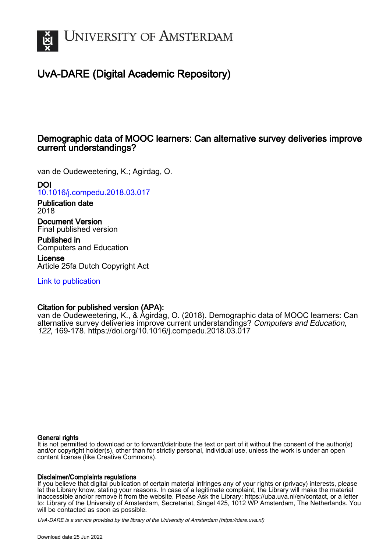

# UvA-DARE (Digital Academic Repository)

## Demographic data of MOOC learners: Can alternative survey deliveries improve current understandings?

van de Oudeweetering, K.; Agirdag, O.

DOI

[10.1016/j.compedu.2018.03.017](https://doi.org/10.1016/j.compedu.2018.03.017)

Publication date 2018

Document Version Final published version

Published in Computers and Education

License Article 25fa Dutch Copyright Act

[Link to publication](https://dare.uva.nl/personal/pure/en/publications/demographic-data-of-mooc-learners-can-alternative-survey-deliveries-improve-current-understandings(8295757e-30f4-47c1-aa99-0d826b9069c9).html)

## Citation for published version (APA):

van de Oudeweetering, K., & Agirdag, O. (2018). Demographic data of MOOC learners: Can alternative survey deliveries improve current understandings? Computers and Education, 122, 169-178.<https://doi.org/10.1016/j.compedu.2018.03.017>

## General rights

It is not permitted to download or to forward/distribute the text or part of it without the consent of the author(s) and/or copyright holder(s), other than for strictly personal, individual use, unless the work is under an open content license (like Creative Commons).

## Disclaimer/Complaints regulations

If you believe that digital publication of certain material infringes any of your rights or (privacy) interests, please let the Library know, stating your reasons. In case of a legitimate complaint, the Library will make the material inaccessible and/or remove it from the website. Please Ask the Library: https://uba.uva.nl/en/contact, or a letter to: Library of the University of Amsterdam, Secretariat, Singel 425, 1012 WP Amsterdam, The Netherlands. You will be contacted as soon as possible.

UvA-DARE is a service provided by the library of the University of Amsterdam (http*s*://dare.uva.nl)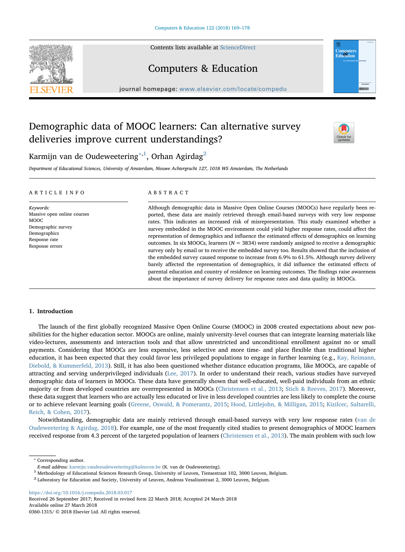Contents lists available at [ScienceDirect](http://www.sciencedirect.com/science/journal/03601315)



# Computers & Education

journal homepage: [www.elsevier.com/locate/compedu](https://www.elsevier.com/locate/compedu)

# Demographic data of MOOC learners: Can alternative survey deliveries improve current understandings?



**Computers**<br>Education

Karmijn van de Oudeweetering $^{\ast,1}$  $^{\ast,1}$  $^{\ast,1}$ , Orhan Agirdag $^2$  $^2$ 

Department of Educational Sciences, University of Amsterdam, Nieuwe Achtergracht 127, 1018 WS Amsterdam, The Netherlands

#### ARTICLE INFO

Keywords: Massive open online courses MOOC Demographic survey Demographics Response rate Response errors

## ABSTRACT

Although demographic data in Massive Open Online Courses (MOOCs) have regularly been reported, these data are mainly retrieved through email-based surveys with very low response rates. This indicates an increased risk of misrepresentation. This study examined whether a survey embedded in the MOOC environment could yield higher response rates, could affect the representation of demographics and influence the estimated effects of demographics on learning outcomes. In six MOOCs, learners  $(N = 3834)$  were randomly assigned to receive a demographic survey only by email or to receive the embedded survey too. Results showed that the inclusion of the embedded survey caused response to increase from 6.9% to 61.5%. Although survey delivery barely affected the representation of demographics, it did influence the estimated effects of parental education and country of residence on learning outcomes. The findings raise awareness about the importance of survey delivery for response rates and data quality in MOOCs.

## 1. Introduction

The launch of the first globally recognized Massive Open Online Course (MOOC) in 2008 created expectations about new possibilities for the higher education sector. MOOCs are online, mainly university-level courses that can integrate learning materials like video-lectures, assessments and interaction tools and that allow unrestricted and unconditional enrollment against no or small payments. Considering that MOOCs are less expensive, less selective and more time- and place flexible than traditional higher education, it has been expected that they could favor less privileged populations to engage in further learning (e.g., [Kay, Reimann,](#page-9-0) [Diebold, & Kummerfeld, 2013](#page-9-0)). Still, it has also been questioned whether distance education programs, like MOOCs, are capable of attracting and serving underprivileged individuals ([Lee, 2017](#page-9-1)). In order to understand their reach, various studies have surveyed demographic data of learners in MOOCs. These data have generally shown that well-educated, well-paid individuals from an ethnic majority or from developed countries are overrepresented in MOOCs [\(Christensen et al., 2013;](#page-9-2) [Stich & Reeves, 2017\)](#page-10-0). Moreover, these data suggest that learners who are actually less educated or live in less developed countries are less likely to complete the course or to achieve relevant learning goals ([Greene, Oswald, & Pomerantz, 2015;](#page-9-3) [Hood, Littlejohn, & Milligan, 2015](#page-9-4); [Kizilcec, Saltarelli,](#page-9-5) [Reich, & Cohen, 2017](#page-9-5)).

Notwithstanding, demographic data are mainly retrieved through email-based surveys with very low response rates ([van de](#page-9-6) [Oudeweetering & Agirdag, 2018\)](#page-9-6). For example, one of the most frequently cited studies to present demographics of MOOC learners received response from 4.3 percent of the targeted population of learners ([Christensen et al., 2013](#page-9-2)). The main problem with such low

<span id="page-1-0"></span><sup>∗</sup> Corresponding author.

Received 26 September 2017; Received in revised form 22 March 2018; Accepted 24 March 2018 Available online 27 March 2018 0360-1315/ © 2018 Elsevier Ltd. All rights reserved.

E-mail address: [karmijn.vandeoudeweetering@kuleuven.be](mailto:karmijn.vandeoudeweetering@kuleuven.be) (K. van de Oudeweetering).

<span id="page-1-1"></span><sup>1</sup> Methodology of Educational Sciences Research Group, University of Leuven, Tiensestraat 102, 3000 Leuven, Belgium.

<span id="page-1-2"></span><sup>2</sup> Laboratory for Education and Society, University of Leuven, Andreas Vesaliusstraat 2, 3000 Leuven, Belgium.

<https://doi.org/10.1016/j.compedu.2018.03.017>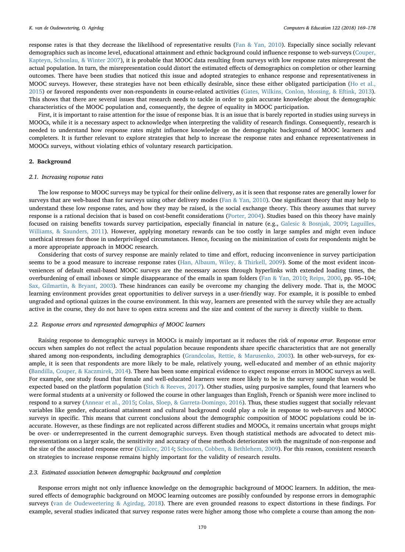response rates is that they decrease the likelihood of representative results ([Fan & Yan, 2010\)](#page-9-7). Especially since socially relevant demographics such as income level, educational attainment and ethnic background could influence response to web-surveys ([Couper,](#page-9-8) [Kapteyn, Schonlau, & Winter 2007\)](#page-9-8), it is probable that MOOC data resulting from surveys with low response rates misrepresent the actual population. In turn, the misrepresentation could distort the estimated effects of demographics on completion or other learning outcomes. There have been studies that noticed this issue and adopted strategies to enhance response and representativeness in MOOC surveys. However, these strategies have not been ethically desirable, since these either obligated participation [\(Ho et al.,](#page-9-9) [2015\)](#page-9-9) or favored respondents over non-respondents in course-related activities [\(Gates, Wilkins, Conlon, Mossing, & Eftink, 2013\)](#page-9-10). This shows that there are several issues that research needs to tackle in order to gain accurate knowledge about the demographic characteristics of the MOOC population and, consequently, the degree of equality in MOOC participation.

First, it is important to raise attention for the issue of response bias. It is an issue that is barely reported in studies using surveys in MOOCs, while it is a necessary aspect to acknowledge when interpreting the validity of research findings. Consequently, research is needed to understand how response rates might influence knowledge on the demographic background of MOOC learners and completers. It is further relevant to explore strategies that help to increase the response rates and enhance representativeness in MOOCs surveys, without violating ethics of voluntary research participation.

## 2. Background

## 2.1. Increasing response rates

The low response to MOOC surveys may be typical for their online delivery, as it is seen that response rates are generally lower for surveys that are web-based than for surveys using other delivery modes [\(Fan & Yan, 2010\)](#page-9-7). One significant theory that may help to understand these low response rates, and how they may be raised, is the social exchange theory. This theory assumes that survey response is a rational decision that is based on cost-benefit considerations ([Porter, 2004](#page-10-1)). Studies based on this theory have mainly focused on raising benefits towards survey participation, especially financial in nature (e.g., [Galesic & Bosnjak, 2009](#page-9-11); [Laguilles,](#page-9-12) [Williams, & Saunders, 2011\)](#page-9-12). However, applying monetary rewards can be too costly in large samples and might even induce unethical stresses for those in underprivileged circumstances. Hence, focusing on the minimization of costs for respondents might be a more appropriate approach in MOOC research.

Considering that costs of survey response are mainly related to time and effort, reducing inconvenience in survey participation seems to be a good measure to increase response rates [\(Han, Albaum, Wiley, & Thirkell, 2009\)](#page-9-13). Some of the most evident inconveniences of default email-based MOOC surveys are the necessary access through hyperlinks with extended loading times, the overburdening of email inboxes or simple disappearance of the emails in spam folders [\(Fan & Yan, 2010](#page-9-7); [Reips, 2000](#page-10-2), pp. 95–104; [Sax, Gilmartin, & Bryant, 2003](#page-10-3)). These hindrances can easily be overcome my changing the delivery mode. That is, the MOOC learning environment provides great opportunities to deliver surveys in a user-friendly way. For example, it is possible to embed ungraded and optional quizzes in the course environment. In this way, learners are presented with the survey while they are actually active in the course, they do not have to open extra screens and the size and content of the survey is directly visible to them.

#### 2.2. Response errors and represented demographics of MOOC learners

Raising response to demographic surveys in MOOCs is mainly important as it reduces the risk of response error. Response error occurs when samples do not reflect the actual population because respondents share specific characteristics that are not generally shared among non-respondents, including demographics ([Grandcolas, Rettie, & Marusenko, 2003](#page-9-14)). In other web-surveys, for example, it is seen that respondents are more likely to be male, relatively young, well-educated and member of an ethnic majority ([Bandilla, Couper, & Kaczmirek, 2014\)](#page-9-15). There has been some empirical evidence to expect response errors in MOOC surveys as well. For example, one study found that female and well-educated learners were more likely to be in the survey sample than would be expected based on the platform population ([Stich & Reeves, 2017\)](#page-10-0). Other studies, using purposive samples, found that learners who were formal students at a university or followed the course in other languages than English, French or Spanish were more inclined to respond to a survey ([Annear et al., 2015](#page-9-16); [Colas, Sloep, & Garreta-Domingo, 2016\)](#page-9-17). Thus, these studies suggest that socially relevant variables like gender, educational attainment and cultural background could play a role in response to web-surveys and MOOC surveys in specific. This means that current conclusions about the demographic composition of MOOC populations could be inaccurate. However, as these findings are not replicated across different studies and MOOCs, it remains uncertain what groups might be over- or underrepresented in the current demographic surveys. Even though statistical methods are advocated to detect misrepresentations on a larger scale, the sensitivity and accuracy of these methods deteriorates with the magnitude of non-response and the size of the associated response error [\(Kizilcec, 2014;](#page-9-18) [Schouten, Cobben, & Bethlehem, 2009](#page-10-4)). For this reason, consistent research on strategies to increase response remains highly important for the validity of research results.

#### 2.3. Estimated association between demographic background and completion

Response errors might not only influence knowledge on the demographic background of MOOC learners. In addition, the measured effects of demographic background on MOOC learning outcomes are possibly confounded by response errors in demographic surveys ([van de Oudeweetering & Agirdag, 2018](#page-9-6)). There are even grounded reasons to expect distortions in these findings. For example, several studies indicated that survey response rates were higher among those who complete a course than among the non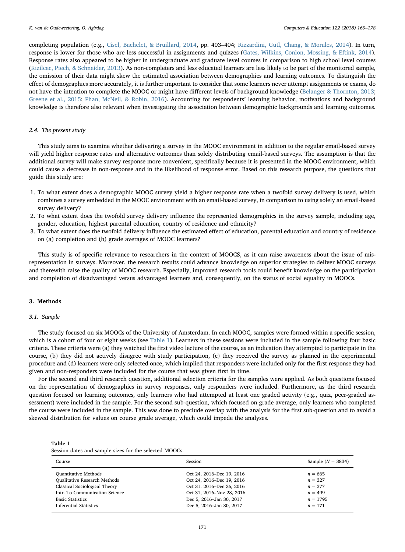completing population (e.g., [Cisel, Bachelet, & Bruillard, 2014](#page-9-19), pp. 403–404; [Rizzardini, Gütl, Chang, & Morales, 2014\)](#page-10-5). In turn, response is lower for those who are less successful in assignments and quizzes ([Gates, Wilkins, Conlon, Mossing, & Eftink, 2014\)](#page-9-10). Response rates also appeared to be higher in undergraduate and graduate level courses in comparison to high school level courses ([Kizilcec, Piech, & Schneider, 2013](#page-9-20)). As non-completers and less educated learners are less likely to be part of the monitored sample, the omission of their data might skew the estimated association between demographics and learning outcomes. To distinguish the effect of demographics more accurately, it is further important to consider that some learners never attempt assignments or exams, do not have the intention to complete the MOOC or might have different levels of background knowledge ([Belanger & Thornton, 2013;](#page-9-21) [Greene et al., 2015;](#page-9-3) [Phan, McNeil, & Robin, 2016](#page-10-6)). Accounting for respondents' learning behavior, motivations and background knowledge is therefore also relevant when investigating the association between demographic backgrounds and learning outcomes.

## 2.4. The present study

This study aims to examine whether delivering a survey in the MOOC environment in addition to the regular email-based survey will yield higher response rates and alternative outcomes than solely distributing email-based surveys. The assumption is that the additional survey will make survey response more convenient, specifically because it is presented in the MOOC environment, which could cause a decrease in non-response and in the likelihood of response error. Based on this research purpose, the questions that guide this study are:

- 1. To what extent does a demographic MOOC survey yield a higher response rate when a twofold survey delivery is used, which combines a survey embedded in the MOOC environment with an email-based survey, in comparison to using solely an email-based survey delivery?
- 2. To what extent does the twofold survey delivery influence the represented demographics in the survey sample, including age, gender, education, highest parental education, country of residence and ethnicity?
- 3. To what extent does the twofold delivery influence the estimated effect of education, parental education and country of residence on (a) completion and (b) grade averages of MOOC learners?

This study is of specific relevance to researchers in the context of MOOCS, as it can raise awareness about the issue of misrepresentation in surveys. Moreover, the research results could advance knowledge on superior strategies to deliver MOOC surveys and therewith raise the quality of MOOC research. Especially, improved research tools could benefit knowledge on the participation and completion of disadvantaged versus advantaged learners and, consequently, on the status of social equality in MOOCs.

## 3. Methods

## 3.1. Sample

The study focused on six MOOCs of the University of Amsterdam. In each MOOC, samples were formed within a specific session, which is a cohort of four or eight weeks (see [Table 1\)](#page-3-0). Learners in these sessions were included in the sample following four basic criteria. These criteria were (a) they watched the first video lecture of the course, as an indication they attempted to participate in the course, (b) they did not actively disagree with study participation, (c) they received the survey as planned in the experimental procedure and (d) learners were only selected once, which implied that responders were included only for the first response they had given and non-responders were included for the course that was given first in time.

For the second and third research question, additional selection criteria for the samples were applied. As both questions focused on the representation of demographics in survey responses, only responders were included. Furthermore, as the third research question focused on learning outcomes, only learners who had attempted at least one graded activity (e.g., quiz, peer-graded assessment) were included in the sample. For the second sub-question, which focused on grade average, only learners who completed the course were included in the sample. This was done to preclude overlap with the analysis for the first sub-question and to avoid a skewed distribution for values on course grade average, which could impede the analyses.

<span id="page-3-0"></span>Table 1 Session dates and sample sizes for the selected MOOCs.

| Course                                                                                                                                                           | Session                                                                                                                                      | Sample $(N = 3834)$                                            |  |
|------------------------------------------------------------------------------------------------------------------------------------------------------------------|----------------------------------------------------------------------------------------------------------------------------------------------|----------------------------------------------------------------|--|
| <b>Quantitative Methods</b><br><b>Qualitative Research Methods</b><br>Classical Sociological Theory<br>Intr. To Communication Science<br><b>Basic Statistics</b> | Oct 24, 2016–Dec 19, 2016<br>Oct 24, 2016–Dec 19, 2016<br>Oct 31, 2016–Dec 26, 2016<br>Oct 31, 2016-Nov 28, 2016<br>Dec 5, 2016-Jan 30, 2017 | $n = 665$<br>$n = 327$<br>$n = 377$<br>$n = 499$<br>$n = 1795$ |  |
| Inferential Statistics                                                                                                                                           | Dec 5, 2016-Jan 30, 2017                                                                                                                     | $n = 171$                                                      |  |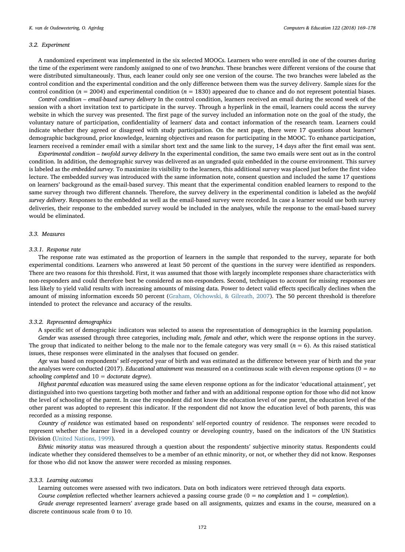#### 3.2. Experiment

A randomized experiment was implemented in the six selected MOOCs. Learners who were enrolled in one of the courses during the time of the experiment were randomly assigned to one of two branches. These branches were different versions of the course that were distributed simultaneously. Thus, each leaner could only see one version of the course. The two branches were labeled as the control condition and the experimental condition and the only difference between them was the survey delivery. Sample sizes for the control condition ( $n = 2004$ ) and experimental condition ( $n = 1830$ ) appeared due to chance and do not represent potential biases.

Control condition – email-based survey delivery In the control condition, learners received an email during the second week of the session with a short invitation text to participate in the survey. Through a hyperlink in the email, learners could access the survey website in which the survey was presented. The first page of the survey included an information note on the goal of the study, the voluntary nature of participation, confidentiality of learners' data and contact information of the research team. Learners could indicate whether they agreed or disagreed with study participation. On the next page, there were 17 questions about learners' demographic background, prior knowledge, learning objectives and reason for participating in the MOOC. To enhance participation, learners received a reminder email with a similar short text and the same link to the survey, 14 days after the first email was sent.

Experimental condition – twofold survey delivery In the experimental condition, the same two emails were sent out as in the control condition. In addition, the demographic survey was delivered as an ungraded quiz embedded in the course environment. This survey is labeled as the embedded survey. To maximize its visibility to the learners, this additional survey was placed just before the first video lecture. The embedded survey was introduced with the same information note, consent question and included the same 17 questions on learners' background as the email-based survey. This meant that the experimental condition enabled learners to respond to the same survey through two different channels. Therefore, the survey delivery in the experimental condition is labeled as the twofold survey delivery. Responses to the embedded as well as the email-based survey were recorded. In case a learner would use both survey deliveries, their response to the embedded survey would be included in the analyses, while the response to the email-based survey would be eliminated.

## 3.3. Measures

#### 3.3.1. Response rate

The response rate was estimated as the proportion of learners in the sample that responded to the survey, separate for both experimental conditions. Learners who answered at least 50 percent of the questions in the survey were identified as responders. There are two reasons for this threshold. First, it was assumed that those with largely incomplete responses share characteristics with non-responders and could therefore best be considered as non-responders. Second, techniques to account for missing responses are less likely to yield valid results with increasing amounts of missing data. Power to detect valid effects specifically declines when the amount of missing information exceeds 50 percent [\(Graham, Olchowski, & Gilreath, 2007\)](#page-9-22). The 50 percent threshold is therefore intended to protect the relevance and accuracy of the results.

## 3.3.2. Represented demographics

A specific set of demographic indicators was selected to assess the representation of demographics in the learning population. Gender was assessed through three categories, including male, female and other, which were the response options in the survey. The group that indicated to neither belong to the male nor to the female category was very small  $(n = 6)$ . As this raised statistical issues, these responses were eliminated in the analyses that focused on gender.

Age was based on respondents' self-reported year of birth and was estimated as the difference between year of birth and the year the analyses were conducted (2017). Educational attainment was measured on a continuous scale with eleven response options ( $0 = no$ schooling completed and  $10 =$  doctorate degree).

Highest parental education was measured using the same eleven response options as for the indicator 'educational attainment', yet distinguished into two questions targeting both mother and father and with an additional response option for those who did not know the level of schooling of the parent. In case the respondent did not know the education level of one parent, the education level of the other parent was adopted to represent this indicator. If the respondent did not know the education level of both parents, this was recorded as a missing response.

Country of residence was estimated based on respondents' self-reported country of residence. The responses were recoded to represent whether the learner lived in a developed country or developing country, based on the indicators of the UN Statistics Division ([United Nations, 1999\)](#page-10-7).

Ethnic minority status was measured through a question about the respondents' subjective minority status. Respondents could indicate whether they considered themselves to be a member of an ethnic minority, or not, or whether they did not know. Responses for those who did not know the answer were recorded as missing responses.

#### 3.3.3. Learning outcomes

Learning outcomes were assessed with two indicators. Data on both indicators were retrieved through data exports.

Course completion reflected whether learners achieved a passing course grade  $(0 = no$  completion and  $1 =$  completion).

Grade average represented learners' average grade based on all assignments, quizzes and exams in the course, measured on a discrete continuous scale from 0 to 10.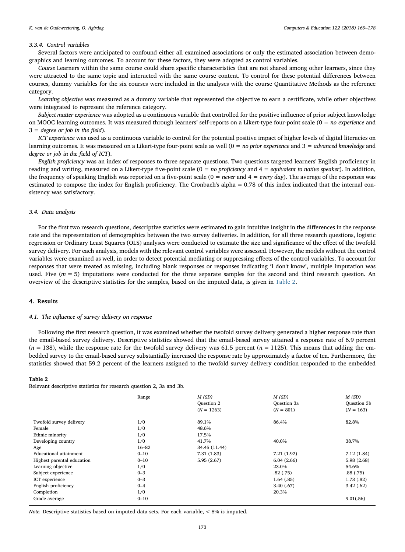## 3.3.4. Control variables

Several factors were anticipated to confound either all examined associations or only the estimated association between demographics and learning outcomes. To account for these factors, they were adopted as control variables.

Course Learners within the same course could share specific characteristics that are not shared among other learners, since they were attracted to the same topic and interacted with the same course content. To control for these potential differences between courses, dummy variables for the six courses were included in the analyses with the course Quantitative Methods as the reference category.

Learning objective was measured as a dummy variable that represented the objective to earn a certificate, while other objectives were integrated to represent the reference category.

Subject matter experience was adopted as a continuous variable that controlled for the positive influence of prior subject knowledge on MOOC learning outcomes. It was measured through learners' self-reports on a Likert-type four-point scale  $(0 = no$  experience and  $3 = degree \ or \ job \ in \ the \ field.$ 

ICT experience was used as a continuous variable to control for the potential positive impact of higher levels of digital literacies on learning outcomes. It was measured on a Likert-type four-point scale as well  $(0 = no prior experience and 3 = advanced knowledge and$ degree or job in the field of ICT).

English proficiency was an index of responses to three separate questions. Two questions targeted learners' English proficiency in reading and writing, measured on a Likert-type five-point scale  $(0 = no$  proficiency and  $4 =$  equivalent to native speaker). In addition, the frequency of speaking English was reported on a five-point scale  $(0 = never$  and  $4 = every day)$ . The average of the responses was estimated to compose the index for English proficiency. The Cronbach's alpha = 0.78 of this index indicated that the internal consistency was satisfactory.

## 3.4. Data analysis

For the first two research questions, descriptive statistics were estimated to gain intuitive insight in the differences in the response rate and the representation of demographics between the two survey deliveries. In addition, for all three research questions, logistic regression or Ordinary Least Squares (OLS) analyses were conducted to estimate the size and significance of the effect of the twofold survey delivery. For each analysis, models with the relevant control variables were assessed. However, the models without the control variables were examined as well, in order to detect potential mediating or suppressing effects of the control variables. To account for responses that were treated as missing, including blank responses or responses indicating 'I don't know', multiple imputation was used. Five  $(m = 5)$  imputations were conducted for the three separate samples for the second and third research question. An overview of the descriptive statistics for the samples, based on the imputed data, is given in [Table 2](#page-5-0).

## 4. Results

#### 4.1. The influence of survey delivery on response

Following the first research question, it was examined whether the twofold survey delivery generated a higher response rate than the email-based survey delivery. Descriptive statistics showed that the email-based survey attained a response rate of 6.9 percent  $(n = 138)$ , while the response rate for the twofold survey delivery was 61.5 percent  $(n = 1125)$ . This means that adding the embedded survey to the email-based survey substantially increased the response rate by approximately a factor of ten. Furthermore, the statistics showed that 59.2 percent of the learners assigned to the twofold survey delivery condition responded to the embedded

#### <span id="page-5-0"></span>Table 2 Relevant descriptive statistics for research question 2, 3a and 3b.

|                            | Range     | M(SD)<br>Question 2<br>$(N = 1263)$ | M(SD)<br>Question 3a<br>$(N = 801)$ | M(SD)<br>Question 3b<br>$(N = 163)$ |
|----------------------------|-----------|-------------------------------------|-------------------------------------|-------------------------------------|
|                            |           |                                     |                                     |                                     |
| Twofold survey delivery    | 1/0       | 89.1%                               | 86.4%                               | 82.8%                               |
| Female                     | 1/0       | 48.6%                               |                                     |                                     |
| Ethnic minority            | 1/0       | 17.5%                               |                                     |                                     |
| Developing country         | 1/0       | 41.7%                               | 40.0%                               | 38.7%                               |
| Age                        | $16 - 82$ | 34.45 (11.44)                       |                                     |                                     |
| Educational attainment     | $0 - 10$  | 7.31 (1.83)                         | 7.21 (1.92)                         | 7.12(1.84)                          |
| Highest parental education | $0 - 10$  | 5.95(2.67)                          | 6.04(2.66)                          | 5.98(2.68)                          |
| Learning objective         | 1/0       |                                     | 23.0%                               | 54.6%                               |
| Subject experience         | $0 - 3$   |                                     | .82(.75)                            | .88(.75)                            |
| ICT experience             | $0 - 3$   |                                     | 1.64(.85)                           | 1.73(0.82)                          |
| English proficiency        | $0 - 4$   |                                     | 3.40(0.67)                          | 3.42(62)                            |
| Completion                 | 1/0       |                                     | 20.3%                               |                                     |
| Grade average              | $0 - 10$  |                                     |                                     | 9.01(.56)                           |

Note. Descriptive statistics based on imputed data sets. For each variable, < 8% is imputed.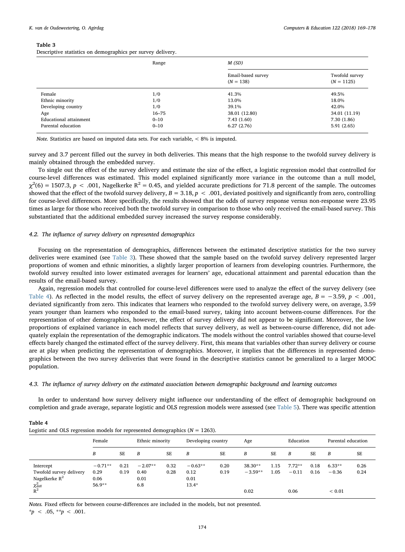#### <span id="page-6-0"></span>Table 3

<span id="page-6-1"></span>Table 4

Descriptive statistics on demographics per survey delivery.

|                        | Range     | M(SD)                             |                                |  |  |  |  |
|------------------------|-----------|-----------------------------------|--------------------------------|--|--|--|--|
|                        |           | Email-based survey<br>$(N = 138)$ | Twofold survey<br>$(N = 1125)$ |  |  |  |  |
| Female                 | 1/0       | 41.3%                             | 49.5%                          |  |  |  |  |
| Ethnic minority        | 1/0       | 13.0%                             | 18.0%                          |  |  |  |  |
| Developing country     | 1/0       | 39.1%                             | 42.0%                          |  |  |  |  |
| Age                    | $16 - 75$ | 38.01 (12.80)                     | 34.01 (11.19)                  |  |  |  |  |
| Educational attainment | $0 - 10$  | 7.43(1.60)                        | 7.30(1.86)                     |  |  |  |  |
| Parental education     | $0 - 10$  | 6.27(2.76)                        | 5.91(2.65)                     |  |  |  |  |

Note. Statistics are based on imputed data sets. For each variable, < 8% is imputed.

survey and 3.7 percent filled out the survey in both deliveries. This means that the high response to the twofold survey delivery is mainly obtained through the embedded survey.

To single out the effect of the survey delivery and estimate the size of the effect, a logistic regression model that controlled for course-level differences was estimated. This model explained significantly more variance in the outcome than a null model,  $\chi^2$ (6) = 1507.3, p < .001, Nagelkerke R<sup>2</sup> = 0.45, and yielded accurate predictions for 71.8 percent of the sample. The outcomes showed that the effect of the twofold survey delivery,  $B = 3.18$ ,  $p < .001$ , deviated positively and significantly from zero, controlling for course-level differences. More specifically, the results showed that the odds of survey response versus non-response were 23.95 times as large for those who received both the twofold survey in comparison to those who only received the email-based survey. This substantiated that the additional embedded survey increased the survey response considerably.

## 4.2. The influence of survey delivery on represented demographics

Focusing on the representation of demographics, differences between the estimated descriptive statistics for the two survey deliveries were examined (see [Table 3\)](#page-6-0). These showed that the sample based on the twofold survey delivery represented larger proportions of women and ethnic minorities, a slightly larger proportion of learners from developing countries. Furthermore, the twofold survey resulted into lower estimated averages for learners' age, educational attainment and parental education than the results of the email-based survey.

Again, regression models that controlled for course-level differences were used to analyze the effect of the survey delivery (see [Table 4](#page-6-1)). As reflected in the model results, the effect of survey delivery on the represented average age,  $B = -3.59$ ,  $p < .001$ , deviated significantly from zero. This indicates that learners who responded to the twofold survey delivery were, on average, 3.59 years younger than learners who responded to the email-based survey, taking into account between-course differences. For the representation of other demographics, however, the effect of survey delivery did not appear to be significant. Moreover, the low proportions of explained variance in each model reflects that survey delivery, as well as between-course difference, did not adequately explain the representation of the demographic indicators. The models without the control variables showed that course-level effects barely changed the estimated effect of the survey delivery. First, this means that variables other than survey delivery or course are at play when predicting the representation of demographics. Moreover, it implies that the differences in represented demographics between the two survey deliveries that were found in the descriptive statistics cannot be generalized to a larger MOOC population.

4.3. The influence of survey delivery on the estimated association between demographic background and learning outcomes

In order to understand how survey delivery might influence our understanding of the effect of demographic background on completion and grade average, separate logistic and OLS regression models were assessed (see [Table 5](#page-7-0)). There was specific attention

| Logistic and OLS regression models for represented demographics $(N = 1203)$ . |           |      |                 |      |                    |      |           |           |           |           |                    |      |
|--------------------------------------------------------------------------------|-----------|------|-----------------|------|--------------------|------|-----------|-----------|-----------|-----------|--------------------|------|
|                                                                                | Female    |      | Ethnic minority |      | Developing country |      | Age       |           | Education |           | Parental education |      |
|                                                                                | В         | SE   | B               | SE   | B                  | SE   | В         | <b>SE</b> | B         | <b>SE</b> | B                  | SE   |
| Intercept                                                                      | $-0.71**$ | 0.21 | $-2.07**$       | 0.32 | $-0.63**$          | 0.20 | 38.30**   | 1.15      | $7.72**$  | 0.18      | $6.33**$           | 0.26 |
| Twofold survey delivery                                                        | 0.29      | 0.19 | 0.40            | 0.28 | 0.12               | 0.19 | $-3.59**$ | 1.05      | $-0.11$   | 0.16      | $-0.36$            | 0.24 |
| Nagelkerke $R^2$                                                               | 0.06      |      | 0.01            |      | 0.01               |      |           |           |           |           |                    |      |
| $\chi^2_{\rm diff}$                                                            | 56.9**    |      | 6.8             |      | $13.4*$            |      |           |           |           |           |                    |      |
| $R^2$                                                                          |           |      |                 |      |                    |      | 0.02      |           | 0.06      |           | ${}_{0.01}$        |      |

Logistic and OLS regression models for represented demographics ( $N = 1263$ ).

Notes. Fixed effects for between course-differences are included in the models, but not presented.  $*_{p} < .05, **_{p} < .001.$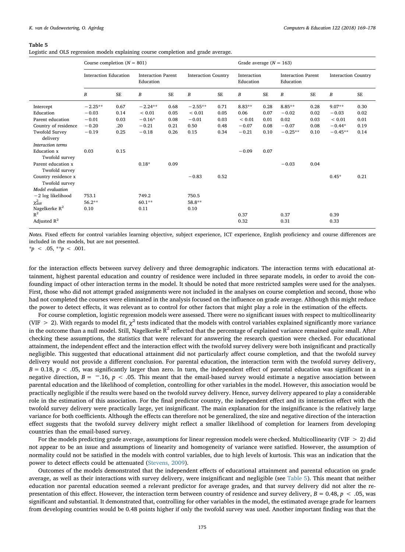#### <span id="page-7-0"></span>Table 5

Logistic and OLS regression models explaining course completion and grade average.

|                                                                                                                                                                              | Course completion $(N = 801)$                                 |                                             |                                                           |                                      |                                                    |                                      |                                                                 | Grade average $(N = 163)$                    |                                                      |                                      |                                                            |                                      |  |
|------------------------------------------------------------------------------------------------------------------------------------------------------------------------------|---------------------------------------------------------------|---------------------------------------------|-----------------------------------------------------------|--------------------------------------|----------------------------------------------------|--------------------------------------|-----------------------------------------------------------------|----------------------------------------------|------------------------------------------------------|--------------------------------------|------------------------------------------------------------|--------------------------------------|--|
|                                                                                                                                                                              | <b>Interaction Education</b>                                  |                                             | <b>Interaction Parent</b><br>Education                    |                                      | <b>Interaction Country</b>                         |                                      | Interaction<br>Education                                        |                                              | <b>Interaction Parent</b><br>Education               |                                      | <b>Interaction Country</b>                                 |                                      |  |
|                                                                                                                                                                              | B                                                             | <b>SE</b>                                   | B                                                         | <b>SE</b>                            | $\boldsymbol{B}$                                   | <b>SE</b>                            | B                                                               | <b>SE</b>                                    | $\boldsymbol{B}$                                     | <b>SE</b>                            | B                                                          | <b>SE</b>                            |  |
| Intercept<br>Education<br>Parent education<br>Country of residence<br>Twofold Survey<br>delivery<br>Interaction terms<br><b>Education</b> x<br>Twofold survey                | $-2.25**$<br>$-0.03$<br>$-0.01$<br>$-0.20$<br>$-0.19$<br>0.03 | 0.67<br>0.14<br>0.03<br>.20<br>0.25<br>0.15 | $-2.24**$<br>${}< 0.01$<br>$-0.16*$<br>$-0.21$<br>$-0.18$ | 0.68<br>0.05<br>0.08<br>0.21<br>0.26 | $-2.55**$<br>${}< 0.01$<br>$-0.01$<br>0.50<br>0.15 | 0.71<br>0.05<br>0.03<br>0.48<br>0.34 | $8.83**$<br>0.06<br>${}< 0.01$<br>$-0.07$<br>$-0.21$<br>$-0.09$ | 0.28<br>0.07<br>0.01<br>0.08<br>0.10<br>0.07 | $8.85***$<br>$-0.02$<br>0.02<br>$-0.07$<br>$-0.25**$ | 0.28<br>0.02<br>0.03<br>0.08<br>0.10 | $9.07**$<br>$-0.03$<br>${}< 0.01$<br>$-0.44*$<br>$-0.45**$ | 0.30<br>0.02<br>0.01<br>0.19<br>0.14 |  |
| Parent education x<br>Twofold survey<br>Country residence x<br>Twofold survey<br>Model evaluation<br>$-2$ log likelihood<br>$\chi^2_{\rm diff}$<br>Nagelkerke $R^2$<br>$R^2$ | 753.1<br>$56.2**$<br>0.10                                     |                                             | $0.18*$<br>749.2<br>$60.1**$<br>0.11                      | 0.09                                 | $-0.83$<br>750.5<br>58.8**<br>0.10                 | 0.52                                 | 0.37                                                            |                                              | $-0.03$<br>0.37                                      | 0.04                                 | $0.45*$<br>0.39                                            | 0.21                                 |  |
| Adjusted $R^2$                                                                                                                                                               |                                                               |                                             |                                                           |                                      |                                                    |                                      | 0.32                                                            |                                              | 0.31                                                 |                                      | 0.33                                                       |                                      |  |

Notes. Fixed effects for control variables learning objective, subject experience, ICT experience, English proficiency and course differences are included in the models, but are not presented.

 $*_{p} < .05, **_{p} < .001.$ 

for the interaction effects between survey delivery and three demographic indicators. The interaction terms with educational attainment, highest parental education and country of residence were included in three separate models, in order to avoid the confounding impact of other interaction terms in the model. It should be noted that more restricted samples were used for the analyses. First, those who did not attempt graded assignments were not included in the analyses on course completion and second, those who had not completed the courses were eliminated in the analysis focused on the influence on grade average. Although this might reduce the power to detect effects, it was relevant as to control for other factors that might play a role in the estimation of the effects.

For course completion, logistic regression models were assessed. There were no significant issues with respect to multicollinearity (VIF > 2). With regards to model fit,  $\chi^2$  tests indicated that the models with control variables explained significantly more variance in the outcome than a null model. Still, Nagelkerke  $R^2$  reflected that the percentage of explained variance remained quite small. After checking these assumptions, the statistics that were relevant for answering the research question were checked. For educational attainment, the independent effect and the interaction effect with the twofold survey delivery were both insignificant and practically negligible. This suggested that educational attainment did not particularly affect course completion, and that the twofold survey delivery would not provide a different conclusion. For parental education, the interaction term with the twofold survey delivery,  $B = 0.18$ ,  $p < .05$ , was significantly larger than zero. In turn, the independent effect of parental education was significant in a negative direction,  $B = -16$ ,  $p < 0.05$ . This meant that the email-based survey would estimate a negative association between parental education and the likelihood of completion, controlling for other variables in the model. However, this association would be practically negligible if the results were based on the twofold survey delivery. Hence, survey delivery appeared to play a considerable role in the estimation of this association. For the final predictor country, the independent effect and its interaction effect with the twofold survey delivery were practically large, yet insignificant. The main explanation for the insignificance is the relatively large variance for both coefficients. Although the effects can therefore not be generalized, the size and negative direction of the interaction effect suggests that the twofold survey delivery might reflect a smaller likelihood of completion for learners from developing countries than the email-based survey.

For the models predicting grade average, assumptions for linear regression models were checked. Multicollinearity (VIF > 2) did not appear to be an issue and assumptions of linearity and homogeneity of variance were satisfied. However, the assumption of normality could not be satisfied in the models with control variables, due to high levels of kurtosis. This was an indication that the power to detect effects could be attenuated [\(Stevens, 2009](#page-10-8)).

Outcomes of the models demonstrated that the independent effects of educational attainment and parental education on grade average, as well as their interactions with survey delivery, were insignificant and negligible (see [Table 5](#page-7-0)). This meant that neither education nor parental education seemed a relevant predictor for average grades, and that survey delivery did not alter the representation of this effect. However, the interaction term between country of residence and survey delivery,  $B = 0.48$ ,  $p < .05$ , was significant and substantial. It demonstrated that, controlling for other variables in the model, the estimated average grade for learners from developing countries would be 0.48 points higher if only the twofold survey was used. Another important finding was that the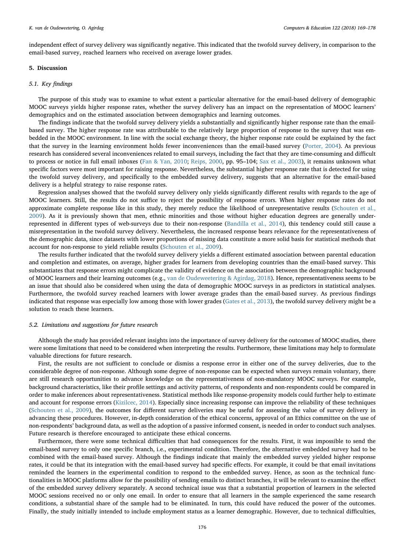independent effect of survey delivery was significantly negative. This indicated that the twofold survey delivery, in comparison to the email-based survey, reached learners who received on average lower grades.

## 5. Discussion

#### 5.1. Key findings

The purpose of this study was to examine to what extent a particular alternative for the email-based delivery of demographic MOOC surveys yields higher response rates, whether the survey delivery has an impact on the representation of MOOC learners' demographics and on the estimated association between demographics and learning outcomes.

The findings indicate that the twofold survey delivery yields a substantially and significantly higher response rate than the emailbased survey. The higher response rate was attributable to the relatively large proportion of response to the survey that was embedded in the MOOC environment. In line with the social exchange theory, the higher response rate could be explained by the fact that the survey in the learning environment holds fewer inconveniences than the email-based survey [\(Porter, 2004](#page-10-1)). As previous research has considered several inconveniences related to email surveys, including the fact that they are time-consuming and difficult to process or notice in full email inboxes [\(Fan & Yan, 2010;](#page-9-7) [Reips, 2000,](#page-10-2) pp. 95-104; [Sax et al., 2003](#page-10-3)), it remains unknown what specific factors were most important for raising response. Nevertheless, the substantial higher response rate that is detected for using the twofold survey delivery, and specifically to the embedded survey delivery, suggests that an alternative for the email-based delivery is a helpful strategy to raise response rates.

Regression analyses showed that the twofold survey delivery only yields significantly different results with regards to the age of MOOC learners. Still, the results do not suffice to reject the possibility of response errors. When higher response rates do not approximate complete response like in this study, they merely reduce the likelihood of unrepresentative results [\(Schouten et al.,](#page-10-4) [2009\)](#page-10-4). As it is previously shown that men, ethnic minorities and those without higher education degrees are generally underrepresented in different types of web-surveys due to their non-response [\(Bandilla et al., 2014\)](#page-9-15), this tendency could still cause a misrepresentation in the twofold survey delivery. Nevertheless, the increased response bears relevance for the representativeness of the demographic data, since datasets with lower proportions of missing data constitute a more solid basis for statistical methods that account for non-response to yield reliable results ([Schouten et al., 2009\)](#page-10-4).

The results further indicated that the twofold survey delivery yields a different estimated association between parental education and completion and estimates, on average, higher grades for learners from developing countries than the email-based survey. This substantiates that response errors might complicate the validity of evidence on the association between the demographic background of MOOC learners and their learning outcomes (e.g., [van de Oudeweetering & Agirdag, 2018\)](#page-9-6). Hence, representativeness seems to be an issue that should also be considered when using the data of demographic MOOC surveys in as predictors in statistical analyses. Furthermore, the twofold survey reached learners with lower average grades than the email-based survey. As previous findings indicated that response was especially low among those with lower grades ([Gates et al., 2013](#page-9-10)), the twofold survey delivery might be a solution to reach these learners.

#### 5.2. Limitations and suggestions for future research

Although the study has provided relevant insights into the importance of survey delivery for the outcomes of MOOC studies, there were some limitations that need to be considered when interpreting the results. Furthermore, these limitations may help to formulate valuable directions for future research.

First, the results are not sufficient to conclude or dismiss a response error in either one of the survey deliveries, due to the considerable degree of non-response. Although some degree of non-response can be expected when surveys remain voluntary, there are still research opportunities to advance knowledge on the representativeness of non-mandatory MOOC surveys. For example, background characteristics, like their profile settings and activity patterns, of respondents and non-respondents could be compared in order to make inferences about representativeness. Statistical methods like response-propensity models could further help to estimate and account for response errors [\(Kizilcec, 2014](#page-9-18)). Especially since increasing response can improve the reliability of these techniques ([Schouten et al., 2009\)](#page-10-4), the outcomes for different survey deliveries may be useful for assessing the value of survey delivery in advancing these procedures. However, in-depth consideration of the ethical concerns, approval of an Ethics committee on the use of non-respondents' background data, as well as the adoption of a passive informed consent, is needed in order to conduct such analyses. Future research is therefore encouraged to anticipate these ethical concerns.

Furthermore, there were some technical difficulties that had consequences for the results. First, it was impossible to send the email-based survey to only one specific branch, i.e., experimental condition. Therefore, the alternative embedded survey had to be combined with the email-based survey. Although the findings indicate that mainly the embedded survey yielded higher response rates, it could be that its integration with the email-based survey had specific effects. For example, it could be that email invitations reminded the learners in the experimental condition to respond to the embedded survey. Hence, as soon as the technical functionalities in MOOC platforms allow for the possibility of sending emails to distinct branches, it will be relevant to examine the effect of the embedded survey delivery separately. A second technical issue was that a substantial proportion of learners in the selected MOOC sessions received no or only one email. In order to ensure that all learners in the sample experienced the same research conditions, a substantial share of the sample had to be eliminated. In turn, this could have reduced the power of the outcomes. Finally, the study initially intended to include employment status as a learner demographic. However, due to technical difficulties,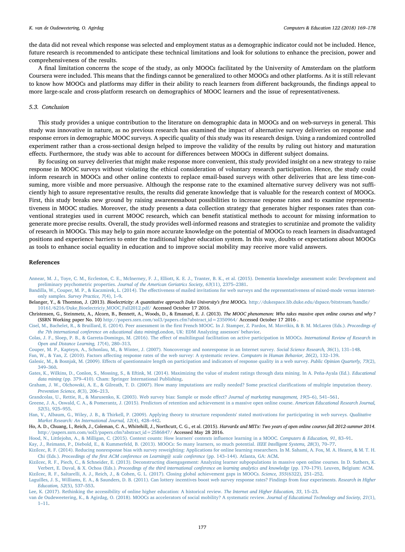the data did not reveal which response was selected and employment status as a demographic indicator could not be included. Hence, future research is recommended to anticipate these technical limitations and look for solutions to enhance the precision, power and comprehensiveness of the results.

A final limitation concerns the scope of the study, as only MOOCs facilitated by the University of Amsterdam on the platform Coursera were included. This means that the findings cannot be generalized to other MOOCs and other platforms. As it is still relevant to know how MOOCs and platforms may differ in their ability to reach learners from different backgrounds, the findings appeal to more large-scale and cross-platform research on demographics of MOOC learners and the issue of representativeness.

## 5.3. Conclusion

This study provides a unique contribution to the literature on demographic data in MOOCs and on web-surveys in general. This study was innovative in nature, as no previous research has examined the impact of alternative survey deliveries on response and response errors in demographic MOOC surveys. A specific quality of this study was its research design. Using a randomized controlled experiment rather than a cross-sectional design helped to improve the validity of the results by ruling out history and maturation effects. Furthermore, the study was able to account for differences between MOOCs in different subject domains.

By focusing on survey deliveries that might make response more convenient, this study provided insight on a new strategy to raise response in MOOC surveys without violating the ethical consideration of voluntary research participation. Hence, the study could inform research in MOOCs and other online contexts to replace email-based surveys with other deliveries that are less time-consuming, more visible and more persuasive. Although the response rate to the examined alternative survey delivery was not sufficiently high to assure representative results, the results did generate knowledge that is valuable for the research context of MOOCs. First, this study breaks new ground by raising awarenessabout possibilities to increase response rates and to examine representativeness in MOOC studies. Moreover, the study presents a data collection strategy that generates higher responses rates than conventional strategies used in current MOOC research, which can benefit statistical methods to account for missing information to generate more precise results. Overall, the study provides well-informed reasons and strategies to scrutinize and promote the validity of research in MOOCs. This may help to gain more accurate knowledge on the potential of MOOCs to reach learners in disadvantaged positions and experience barriers to enter the traditional higher education system. In this way, doubts or expectations about MOOCs as tools to enhance social equality in education and to improve social mobility may receive more valid answers.

#### References

- <span id="page-9-16"></span>[Annear, M. J., Toye, C. M., Eccleston, C. E., McInerney, F. J., Elliott, K. E. J., Tranter, B. K., et al. \(2015\). Dementia knowledge assessment scale: Development and](http://refhub.elsevier.com/S0360-1315(18)30076-9/sref1) preliminary psychometric properties. [Journal of the American Geriatrics Society, 63](http://refhub.elsevier.com/S0360-1315(18)30076-9/sref1)(11), 2375–2381.
- <span id="page-9-15"></span>Bandilla, W., Couper, M. P., & Kaczmirek, L. (2014). The eff[ectiveness of mailed invitations for web surveys and the representativeness of mixed-mode versus internet](http://refhub.elsevier.com/S0360-1315(18)30076-9/sref3)only samples. [Survey Practice, 7](http://refhub.elsevier.com/S0360-1315(18)30076-9/sref3)(4), 1–9.
- <span id="page-9-21"></span>Belanger, Y., & Thornton, J. (2013). Bioelectricity: A quantitative approach Duke University's first MOOCs. [http://dukespace.lib.duke.edu/dspace/bitstream/handle/](http://dukespace.lib.duke.edu/dspace/bitstream/handle/10161/6216/Duke_Bioelectriciy_MOOC_Fall2012.pdf/) [10161/6216/Duke\\_Bioelectriciy\\_MOOC\\_Fall2012.pdf/](http://dukespace.lib.duke.edu/dspace/bitstream/handle/10161/6216/Duke_Bioelectriciy_MOOC_Fall2012.pdf/) Accessed October 17 2016.
- <span id="page-9-2"></span>Christensen, G., Steinmetz, A., Alcorn, B., Bennett, A., Woods, D., & Emanuel, E. J. (2013). The MOOC phenomenon: Who takes massive open online courses and why ? (SSRN Working paper No. 10) [http://papers.ssrn.com/sol3/papers.cfm?abstract\\_id=2350964/](http://papers.ssrn.com/sol3/papers.cfm?abstract_id=2350964/) Accessed October 17 2016 .
- <span id="page-9-19"></span>Cisel, M., Bachelet, R., & Bruillard, E. (2014). Peer assessment in the fi[rst French MOOC. In J. Stamper, Z. Pardos, M. Mavrikis, & B. M. McLaren \(Eds.\).](http://refhub.elsevier.com/S0360-1315(18)30076-9/sref6) Proceedings of [the 7th international conference on educational data mining](http://refhub.elsevier.com/S0360-1315(18)30076-9/sref6)London, UK: EDM Analyzing assessors' behavior.
- <span id="page-9-17"></span>Colas, J. F., Sloep, P. B., & Garreta-Domingo, M. (2016). The eff[ect of multilingual facilitation on active participation in MOOCs.](http://refhub.elsevier.com/S0360-1315(18)30076-9/sref7) International Review of Research in [Open and Distance Learning, 17](http://refhub.elsevier.com/S0360-1315(18)30076-9/sref7)(4), 280–313.
- <span id="page-9-8"></span>[Couper, M. P., Kapteyn, A., Schonlau, M., & Winter, J. \(2007\). Noncoverage and nonresponse in an Internet survey.](http://refhub.elsevier.com/S0360-1315(18)30076-9/sref8) Social Science Research, 36(1), 131–148.
- <span id="page-9-7"></span>Fan, W., & Yan, Z. (2010). Factors aff[ecting response rates of the web survey: A systematic review.](http://refhub.elsevier.com/S0360-1315(18)30076-9/sref9) Computers in Human Behavior, 26(2), 132–139.

<span id="page-9-11"></span>Galesic, M., & Bosnjak, M. (2009). Eff[ects of questionnaire length on participation and indicators of response quality in a web survey.](http://refhub.elsevier.com/S0360-1315(18)30076-9/sref10) Public Opinion Quarterly, 73(2), 349–[360.](http://refhub.elsevier.com/S0360-1315(18)30076-9/sref10)

<span id="page-9-10"></span>[Gates, K., Wilkins, D., Conlon, S., Mossing, S., & Eftink, M. \(2014\). Maximizing the value of student ratings through data mining. In A. Peña-Ayala \(Ed.\).](http://refhub.elsevier.com/S0360-1315(18)30076-9/sref11) Educational data mining (pp. 379–[410\). Cham: Springer International Publishing](http://refhub.elsevier.com/S0360-1315(18)30076-9/sref11).

<span id="page-9-22"></span>[Graham, J. W., Olchowski, A. E., & Gilreath, T. D. \(2007\). How many imputations are really needed? Some practical clari](http://refhub.elsevier.com/S0360-1315(18)30076-9/sref12)fications of multiple imputation theory. [Prevention Science, 8](http://refhub.elsevier.com/S0360-1315(18)30076-9/sref12)(3), 206–213.

<span id="page-9-14"></span>[Grandcolas, U., Rettie, R., & Marusenko, K. \(2003\). Web survey bias: Sample or mode e](http://refhub.elsevier.com/S0360-1315(18)30076-9/sref13)ffect? Journal of marketing management, 19(5-6), 541-561.

<span id="page-9-3"></span>[Greene, J. A., Oswald, C. A., & Pomerantz, J. \(2015\). Predictors of retention and achievement in a massive open online course.](http://refhub.elsevier.com/S0360-1315(18)30076-9/sref14) American Educational Research Journal, 52[\(5\), 925](http://refhub.elsevier.com/S0360-1315(18)30076-9/sref14)–955.

<span id="page-9-13"></span>[Han, V., Albaum, G., Wiley, J. B., & Thirkell, P. \(2009\). Applying theory to structure respondents' stated motivations for participating in web surveys.](http://refhub.elsevier.com/S0360-1315(18)30076-9/sref15) Qualitative Market [Research: An International Journal, 12](http://refhub.elsevier.com/S0360-1315(18)30076-9/sref15)(4), 428–442.

<span id="page-9-9"></span>Ho, A. D., Chuang, I., Reich, J., Coleman, C. A., Whitehill, J., Northcutt, C. G., et al. (2015). Harvardx and MITx: Two years of open online courses fall 2012-summer 2014. [http://papers.ssrn.com/sol3/papers.cfm?abstract\\_id=2586847/](http://papers.ssrn.com/sol3/papers.cfm?abstract_id=2586847/) Accessed May 28 2016.

<span id="page-9-4"></span>[Hood, N., Littlejohn, A., & Milligan, C. \(2015\). Context counts: How learners' contexts in](http://refhub.elsevier.com/S0360-1315(18)30076-9/sref17)fluence learning in a MOOC. Computers & Education, 91, 83–91.

<span id="page-9-0"></span>[Kay, J., Reimann, P., Diebold, E., & Kummerfeld, B. \(2013\). MOOCs: So many learners, so much potential.](http://refhub.elsevier.com/S0360-1315(18)30076-9/sref18) IEEE Intelligent Systems, 28(3), 70–77.

<span id="page-9-18"></span>[Kizilcec, R. F. \(2014\). Reducing nonresponse bias with survey reweighting: Applications for online learning researchers. In M. Sahami, A. Fox, M. A. Hearst, & M. T. H.](http://refhub.elsevier.com/S0360-1315(18)30076-9/sref19) Chi (Eds.). Proceedings of the fi[rst ACM conference on Learning@ scale conference](http://refhub.elsevier.com/S0360-1315(18)30076-9/sref19) (pp. 143–144). Atlanta, GA: ACM.

<span id="page-9-20"></span>[Kizilcec, R. F., Piech, C., & Schneider, E. \(2013\). Deconstructing disengagement: Analyzing learner subpopulations in massive open online courses. In D. Suthers, K.](http://refhub.elsevier.com/S0360-1315(18)30076-9/sref20) Verbert, E. Duval, & X. Ochoa (Eds.). [Proceedings of the third international conference on learning analytics and knowledge](http://refhub.elsevier.com/S0360-1315(18)30076-9/sref20) (pp. 170–179). Leuven, Belgium: ACM. [Kizilcec, R. F., Saltarelli, A. J., Reich, J., & Cohen, G. L. \(2017\). Closing global achievement gaps in MOOCs.](http://refhub.elsevier.com/S0360-1315(18)30076-9/sref21) Science, 355(6322), 251–252.

<span id="page-9-12"></span><span id="page-9-5"></span>[Laguilles, J. S., Williams, E. A., & Saunders, D. B. \(2011\). Can lottery incentives boost web survey response rates? Findings from four experiments.](http://refhub.elsevier.com/S0360-1315(18)30076-9/sref22) Research in Higher [Education, 52](http://refhub.elsevier.com/S0360-1315(18)30076-9/sref22)(5), 537–553.

<span id="page-9-1"></span>[Lee, K. \(2017\). Rethinking the accessibility of online higher education: A historical review.](http://refhub.elsevier.com/S0360-1315(18)30076-9/sref23) The Internet and Higher Education, 33, 15–23.

<span id="page-9-6"></span>[van de Oudeweetering, K., & Agirdag, O. \(2018\). MOOCs as accelerators of social mobility? A systematic review.](http://refhub.elsevier.com/S0360-1315(18)30076-9/sref2) Journal of Educational Technology and Society, 21(1), 1–[11.](http://refhub.elsevier.com/S0360-1315(18)30076-9/sref2)